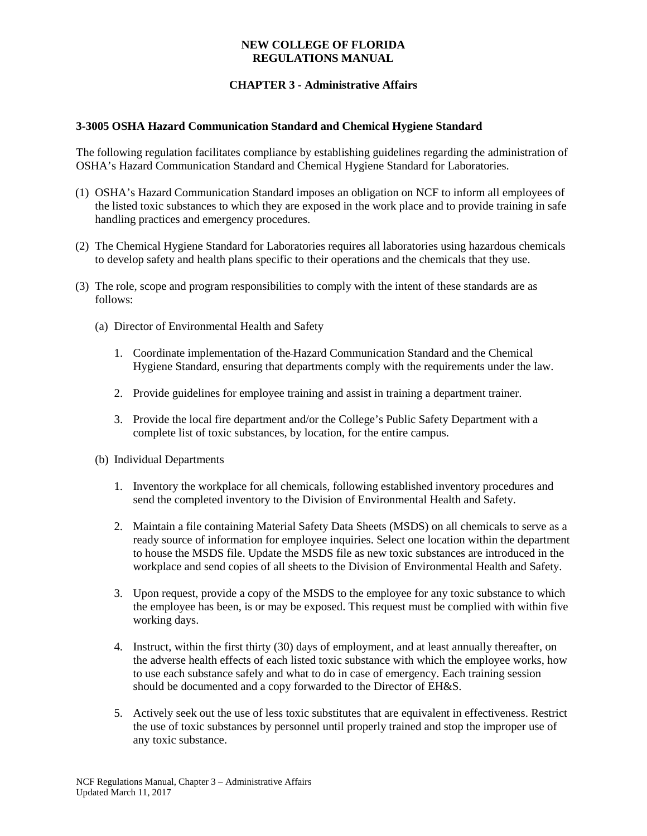### **NEW COLLEGE OF FLORIDA REGULATIONS MANUAL**

# **CHAPTER 3 - Administrative Affairs**

#### **3-3005 OSHA Hazard Communication Standard and Chemical Hygiene Standard**

The following regulation facilitates compliance by establishing guidelines regarding the administration of OSHA's Hazard Communication Standard and Chemical Hygiene Standard for Laboratories.

- (1) OSHA's Hazard Communication Standard imposes an obligation on NCF to inform all employees of the listed toxic substances to which they are exposed in the work place and to provide training in safe handling practices and emergency procedures.
- (2) The Chemical Hygiene Standard for Laboratories requires all laboratories using hazardous chemicals to develop safety and health plans specific to their operations and the chemicals that they use.
- (3) The role, scope and program responsibilities to comply with the intent of these standards are as follows:
	- (a) Director of Environmental Health and Safety
		- 1. Coordinate implementation of the Hazard Communication Standard and the Chemical Hygiene Standard, ensuring that departments comply with the requirements under the law.
		- 2. Provide guidelines for employee training and assist in training a department trainer.
		- 3. Provide the local fire department and/or the College's Public Safety Department with a complete list of toxic substances, by location, for the entire campus.
	- (b) Individual Departments
		- 1. Inventory the workplace for all chemicals, following established inventory procedures and send the completed inventory to the Division of Environmental Health and Safety.
		- 2. Maintain a file containing Material Safety Data Sheets (MSDS) on all chemicals to serve as a ready source of information for employee inquiries. Select one location within the department to house the MSDS file. Update the MSDS file as new toxic substances are introduced in the workplace and send copies of all sheets to the Division of Environmental Health and Safety.
		- 3. Upon request, provide a copy of the MSDS to the employee for any toxic substance to which the employee has been, is or may be exposed. This request must be complied with within five working days.
		- 4. Instruct, within the first thirty (30) days of employment, and at least annually thereafter, on the adverse health effects of each listed toxic substance with which the employee works, how to use each substance safely and what to do in case of emergency. Each training session should be documented and a copy forwarded to the Director of EH&S.
		- 5. Actively seek out the use of less toxic substitutes that are equivalent in effectiveness. Restrict the use of toxic substances by personnel until properly trained and stop the improper use of any toxic substance.